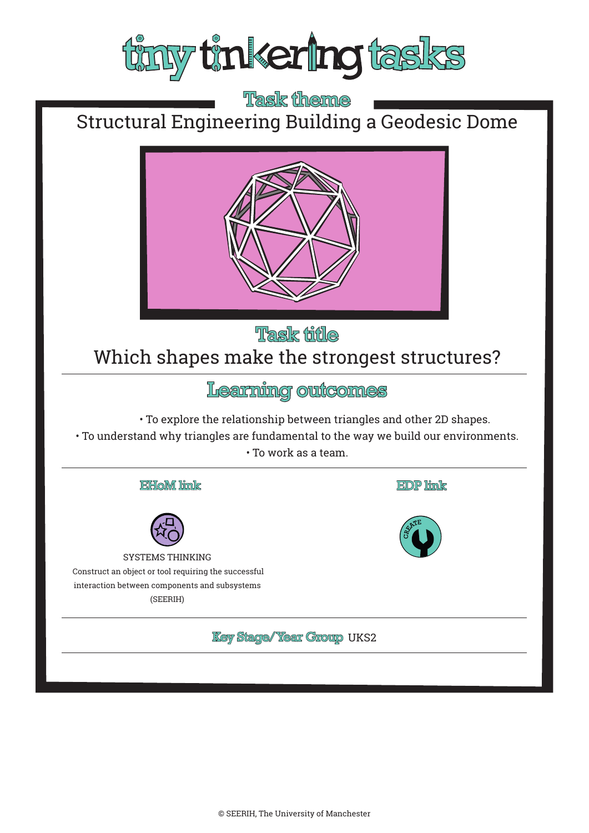

**Task theme** Structural Engineering Building a Geodesic Dome



# **Task fifle** Which shapes make the strongest structures?

Learning outcomes

• To explore the relationship between triangles and other 2D shapes.

• To understand why triangles are fundamental to the way we build our environments.

• To work as a team.

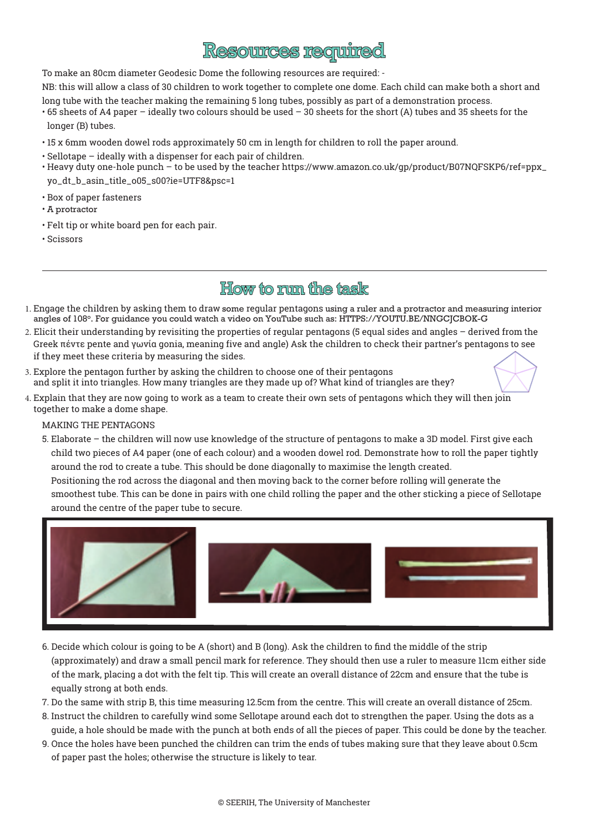## **Resources required**

To make an 80cm diameter Geodesic Dome the following resources are required: -

NB: this will allow a class of 30 children to work together to complete one dome. Each child can make both a short and long tube with the teacher making the remaining 5 long tubes, possibly as part of a demonstration process.

- 65 sheets of A4 paper ideally two colours should be used 30 sheets for the short (A) tubes and 35 sheets for the longer (B) tubes.
- 15 x 6mm wooden dowel rods approximately 50 cm in length for children to roll the paper around.
- Sellotape ideally with a dispenser for each pair of children.
- Heavy duty one-hole punch to be used by the teacher [https://www.amazon.co.uk/gp/product/B07NQFSKP6/ref=ppx\\_](https://www.amazon.co.uk/gp/product/B07NQFSKP6/ref=ppx_yo_dt_b_asin_title_o05_s00?ie=UTF8&psc=1) [yo\\_dt\\_b\\_asin\\_title\\_o05\\_s00?ie=UTF8&psc=1](https://www.amazon.co.uk/gp/product/B07NQFSKP6/ref=ppx_yo_dt_b_asin_title_o05_s00?ie=UTF8&psc=1)
- Box of paper fasteners
- A protractor
- Felt tip or white board pen for each pair.
- Scissors

### **How to mun the task**

- 1. Engage the children by asking them to draw some regular pentagons using a ruler and a protractor and measuring interior angles of 108°. For guidance you could watch a video on YouTube such as: <HTTPS://YOUTU.BE/NNGCJCBOK-G>
- 2. Elicit their understanding by revisiting the properties of regular pentagons (5 equal sides and angles derived from the Greek πέντε pente and γωνία gonia, meaning five and angle) Ask the children to check their partner's pentagons to see if they meet these criteria by measuring the sides.
- 3. Explore the pentagon further by asking the children to choose one of their pentagons and split it into triangles. How many triangles are they made up of? What kind of triangles are they?
- 4. Explain that they are now going to work as a team to create their own sets of pentagons which they will then join together to make a dome shape.

#### MAKING THE PENTAGONS

5. Elaborate – the children will now use knowledge of the structure of pentagons to make a 3D model. First give each child two pieces of A4 paper (one of each colour) and a wooden dowel rod. Demonstrate how to roll the paper tightly around the rod to create a tube. This should be done diagonally to maximise the length created.

Positioning the rod across the diagonal and then moving back to the corner before rolling will generate the smoothest tube. This can be done in pairs with one child rolling the paper and the other sticking a piece of Sellotape around the centre of the paper tube to secure.



- 6. Decide which colour is going to be A (short) and B (long). Ask the children to find the middle of the strip (approximately) and draw a small pencil mark for reference. They should then use a ruler to measure 11cm either side of the mark, placing a dot with the felt tip. This will create an overall distance of 22cm and ensure that the tube is equally strong at both ends.
- 7. Do the same with strip B, this time measuring 12.5cm from the centre. This will create an overall distance of 25cm.
- 8. Instruct the children to carefully wind some Sellotape around each dot to strengthen the paper. Using the dots as a guide, a hole should be made with the punch at both ends of all the pieces of paper. This could be done by the teacher.
- 9. Once the holes have been punched the children can trim the ends of tubes making sure that they leave about 0.5cm of paper past the holes; otherwise the structure is likely to tear.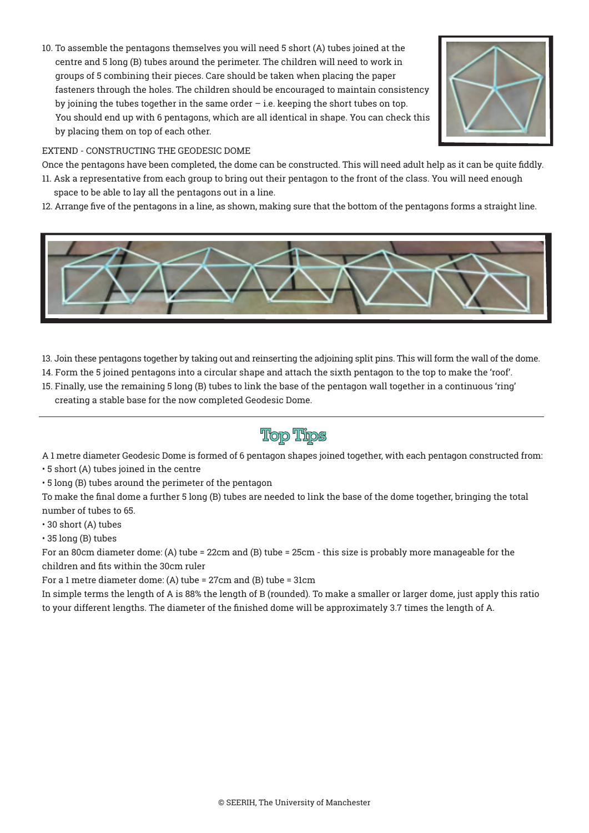10. To assemble the pentagons themselves you will need 5 short (A) tubes joined at the centre and 5 long (B) tubes around the perimeter. The children will need to work in groups of 5 combining their pieces. Care should be taken when placing the paper fasteners through the holes. The children should be encouraged to maintain consistency by joining the tubes together in the same order  $-$  i.e. keeping the short tubes on top. You should end up with 6 pentagons, which are all identical in shape. You can check this by placing them on top of each other.



### EXTEND - CONSTRUCTING THE GEODESIC DOME

Once the pentagons have been completed, the dome can be constructed. This will need adult help as it can be quite fiddly.

- 11. Ask a representative from each group to bring out their pentagon to the front of the class. You will need enough space to be able to lay all the pentagons out in a line.
- 12. Arrange five of the pentagons in a line, as shown, making sure that the bottom of the pentagons forms a straight line.



- 13. Join these pentagons together by taking out and reinserting the adjoining split pins. This will form the wall of the dome.
- 14. Form the 5 joined pentagons into a circular shape and attach the sixth pentagon to the top to make the 'roof'.
- 15. Finally, use the remaining 5 long (B) tubes to link the base of the pentagon wall together in a continuous 'ring' creating a stable base for the now completed Geodesic Dome.

### **Top Tips**

A 1 metre diameter Geodesic Dome is formed of 6 pentagon shapes joined together, with each pentagon constructed from:

- 5 short (A) tubes joined in the centre
- 5 long (B) tubes around the perimeter of the pentagon

To make the final dome a further 5 long (B) tubes are needed to link the base of the dome together, bringing the total number of tubes to 65.

- 30 short (A) tubes
- 35 long (B) tubes

For an 80cm diameter dome: (A) tube = 22cm and (B) tube = 25cm - this size is probably more manageable for the children and fits within the 30cm ruler

For a 1 metre diameter dome: (A) tube = 27cm and (B) tube = 31cm

In simple terms the length of A is 88% the length of B (rounded). To make a smaller or larger dome, just apply this ratio to your different lengths. The diameter of the finished dome will be approximately 3.7 times the length of A.